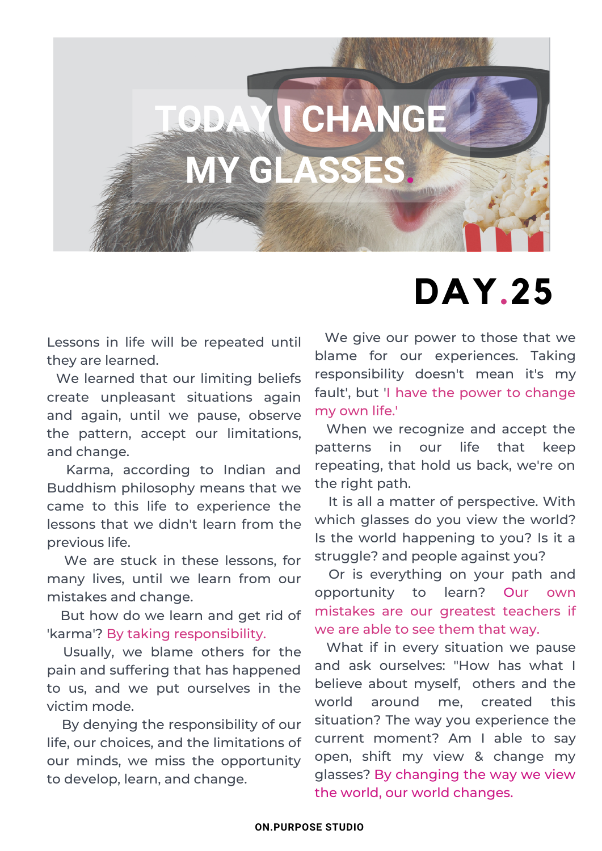

## **DAY.25**

Lessons in life will be repeated until they are learned.

We learned that our limiting beliefs create unpleasant situations again and again, until we pause, observe the pattern, accept our limitations, and change.

Karma, according to Indian and Buddhism philosophy means that we came to this life to experience the lessons that we didn't learn from the previous life.

We are stuck in these lessons, for many lives, until we learn from our mistakes and change.

But how do we learn and get rid of 'karma'? By taking responsibility.

Usually, we blame others for the pain and suffering that has happened to us, and we put ourselves in the victim mode.

By denying the responsibility of our life, our choices, and the limitations of our minds, we miss the opportunity to develop, learn, and change.

We give our power to those that we blame for our experiences. Taking responsibility doesn't mean it's my fault', but 'I have the power to change my own life.'

When we recognize and accept the patterns in our life that keep repeating, that hold us back, we're on the right path.

It is all a matter of perspective. With which glasses do you view the world? Is the world happening to you? Is it a struggle? and people against you?

Or is everything on your path and opportunity to learn? Our own mistakes are our greatest teachers if we are able to see them that way.

What if in every situation we pause and ask ourselves: "How has what I believe about myself, others and the world around me, created this situation? The way you experience the current moment? Am I able to say open, shift my view & change my glasses? By changing the way we view the world, our world changes.